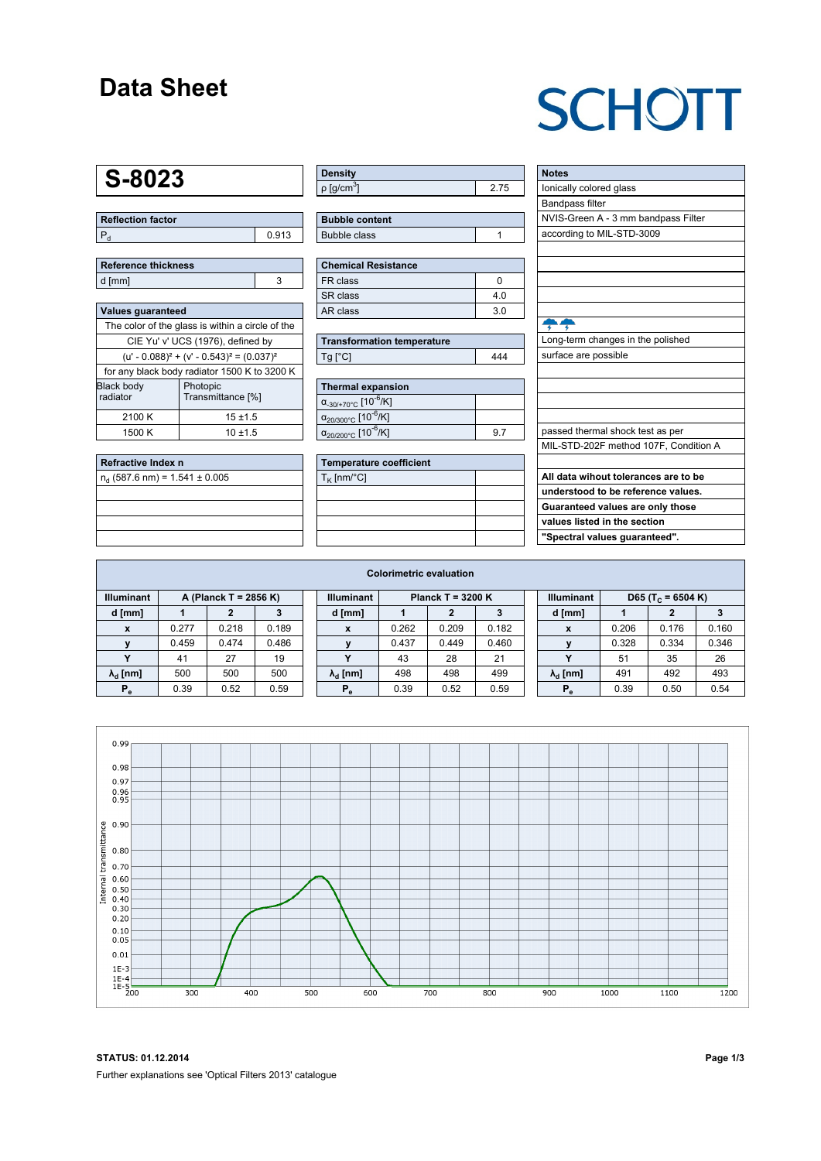#### **Data Sheet**

## **SCHOTT**

### **S-8023**

**Reflection factor**  $P_d$  0.913

|        | Reference thickness |  |
|--------|---------------------|--|
| d [mm] |                     |  |

| <b>Values quaranteed</b>                            |                               |  |  |  |  |  |  |
|-----------------------------------------------------|-------------------------------|--|--|--|--|--|--|
| The color of the glass is within a circle of the    |                               |  |  |  |  |  |  |
| CIE Yu' v' UCS (1976), defined by                   |                               |  |  |  |  |  |  |
| $(u' - 0.088)^{2} + (v' - 0.543)^{2} = (0.037)^{2}$ |                               |  |  |  |  |  |  |
| for any black body radiator 1500 K to 3200 K        |                               |  |  |  |  |  |  |
| <b>Black body</b><br>radiator                       | Photopic<br>Transmittance [%] |  |  |  |  |  |  |
| 2100 K                                              | $15 + 1.5$                    |  |  |  |  |  |  |
| 1500 K                                              | $10 + 1.5$                    |  |  |  |  |  |  |

| Refractive Index n                 |  |
|------------------------------------|--|
| $n_{d}$ (587.6 nm) = 1.541 ± 0.005 |  |
|                                    |  |
|                                    |  |
|                                    |  |
|                                    |  |

| Density   |  |
|-----------|--|
| ρ [g/cmຶ] |  |

| <b>Bubble content</b> |  |
|-----------------------|--|
| Bubble class          |  |

| <b>Chemical Resistance</b> |                |  |  |  |  |  |
|----------------------------|----------------|--|--|--|--|--|
| FR class                   |                |  |  |  |  |  |
| SR class                   | 4.0            |  |  |  |  |  |
| AR class                   | 3 <sub>0</sub> |  |  |  |  |  |

| <b>Transformation temperature</b> |     |
|-----------------------------------|-----|
| $Tg$ [ $^{\circ}$ C]              | 444 |

| <b>Thermal expansion</b>                          |  |
|---------------------------------------------------|--|
| $\alpha_{.30/+70\degree}$ C [10 <sup>-6</sup> /K] |  |
| $\alpha_{20/300^{\circ}C}$ [10 $\overline{6}$ /K] |  |
| $\alpha_{20/200^{\circ}C}$ [10 <sup>-6</sup> /K]  |  |

| Temperature coefficient |  |
|-------------------------|--|
| $T_{\rm K}$ [nm/°C]     |  |
|                         |  |
|                         |  |
|                         |  |
|                         |  |

| <b>Notes</b>                          |
|---------------------------------------|
| lonically colored glass               |
| <b>Bandpass filter</b>                |
| NVIS-Green A - 3 mm bandpass Filter   |
| according to MIL-STD-3009             |
|                                       |
|                                       |
|                                       |
|                                       |
|                                       |
|                                       |
| Long-term changes in the polished     |
| surface are possible                  |
|                                       |
|                                       |
|                                       |
|                                       |
| passed thermal shock test as per      |
| MIL-STD-202F method 107F, Condition A |
|                                       |
| All data wihout tolerances are to be  |
| understood to be reference values.    |
| Guaranteed values are only those      |
| values listed in the section          |
| "Spectral values guaranteed".         |

| <b>Colorimetric evaluation</b>             |       |       |       |  |                                          |       |       |       |  |                                                    |       |       |       |
|--------------------------------------------|-------|-------|-------|--|------------------------------------------|-------|-------|-------|--|----------------------------------------------------|-------|-------|-------|
| <b>Illuminant</b><br>A (Planck T = 2856 K) |       |       |       |  | <b>Illuminant</b><br>Planck T = $3200 K$ |       |       |       |  | <b>Illuminant</b><br>D65 (T <sub>c</sub> = 6504 K) |       |       |       |
| d [mm]                                     |       |       |       |  | d [mm]                                   |       |       |       |  | d [mm]                                             |       |       | 3     |
| X                                          | 0.277 | 0.218 | 0.189 |  | X                                        | 0.262 | 0.209 | 0.182 |  | X                                                  | 0.206 | 0.176 | 0.160 |
|                                            | 0.459 | 0.474 | 0.486 |  | $\mathbf{v}$                             | 0.437 | 0.449 | 0.460 |  |                                                    | 0.328 | 0.334 | 0.346 |
|                                            | 41    | 27    | 19    |  | $\mathbf{v}$                             | 43    | 28    | 21    |  |                                                    | 51    | 35    | 26    |
| $\lambda_{\rm d}$ [nm]                     | 500   | 500   | 500   |  | $\lambda_{\rm d}$ [nm]                   | 498   | 498   | 499   |  | $\lambda_{\rm d}$ [nm]                             | 491   | 492   | 493   |
| $P_e$                                      | 0.39  | 0.52  | 0.59  |  | $P_e$                                    | 0.39  | 0.52  | 0.59  |  | $P_e$                                              | 0.39  | 0.50  | 0.54  |
|                                            |       |       |       |  |                                          |       |       |       |  |                                                    |       |       |       |

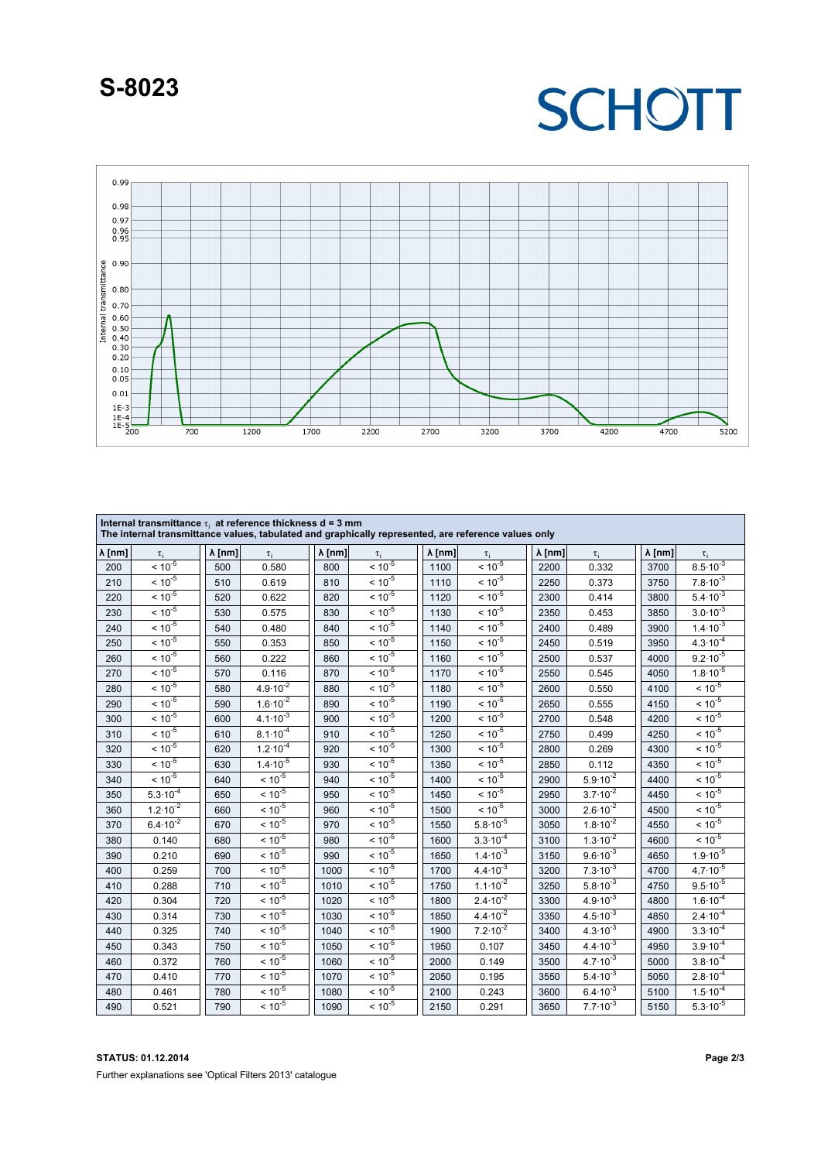#### **S-8023**

## **SCHOTT**



| Internal transmittance $\tau_i$ at reference thickness d = 3 mm<br>The internal transmittance values, tabulated and graphically represented, are reference values only |                     |                |                     |                |             |                |                                  |                |                              |                |                     |
|------------------------------------------------------------------------------------------------------------------------------------------------------------------------|---------------------|----------------|---------------------|----------------|-------------|----------------|----------------------------------|----------------|------------------------------|----------------|---------------------|
| $\lambda$ [nm]                                                                                                                                                         | $\tau_i$            | $\lambda$ [nm] | $\tau_i$            | $\lambda$ [nm] | $\tau_i$    | $\lambda$ [nm] | $\tau_i$                         | $\lambda$ [nm] | $\tau_i$                     | $\lambda$ [nm] | $\tau_i$            |
| 200                                                                                                                                                                    | $< 10^{-5}$         | 500            | 0.580               | 800            | $< 10^{-5}$ | 1100           | $< 10^{-5}$                      | 2200           | 0.332                        | 3700           | $8.5 \cdot 10^{-3}$ |
| 210                                                                                                                                                                    | $< 10^{-5}$         | 510            | 0.619               | 810            | $< 10^{-5}$ | 1110           | $< 10^{-5}$                      | 2250           | 0.373                        | 3750           | $7.8 \cdot 10^{-3}$ |
| 220                                                                                                                                                                    | $< 10^{-5}$         | 520            | 0.622               | 820            | $< 10^{-5}$ | 1120           | $< 10^{-5}$                      | 2300           | 0.414                        | 3800           | $5.4 \cdot 10^{-3}$ |
| 230                                                                                                                                                                    | $< 10^{-5}$         | 530            | 0.575               | 830            | $< 10^{-5}$ | 1130           | $< 10^{-5}$                      | 2350           | 0.453                        | 3850           | $3.0\cdot 10^{-3}$  |
| 240                                                                                                                                                                    | $< 10^{-5}$         | 540            | 0.480               | 840            | $< 10^{-5}$ | 1140           | $\frac{1}{5}$ < 10 <sup>-5</sup> | 2400           | 0.489                        | 3900           | $1.4 \cdot 10^{-3}$ |
| 250                                                                                                                                                                    | $< 10^{-5}$         | 550            | 0.353               | 850            | $< 10^{-5}$ | 1150           | $< 10^{-5}$                      | 2450           | 0.519                        | 3950           | $4.3 \cdot 10^{-4}$ |
| 260                                                                                                                                                                    | $< 10^{-5}$         | 560            | 0.222               | 860            | $< 10^{-5}$ | 1160           | $< 10^{-5}$                      | 2500           | 0.537                        | 4000           | $9.2 \cdot 10^{-5}$ |
| 270                                                                                                                                                                    | $< 10^{-5}$         | 570            | 0.116               | 870            | $< 10^{-5}$ | 1170           | $< 10^{-5}$                      | 2550           | 0.545                        | 4050           | $1.8 \cdot 10^{-5}$ |
| 280                                                                                                                                                                    | $< 10^{-5}$         | 580            | $4.9 \cdot 10^{-2}$ | 880            | $< 10^{-5}$ | 1180           | $< 10^{-5}$                      | 2600           | 0.550                        | 4100           | $< 10^{-5}$         |
| 290                                                                                                                                                                    | $< 10^{-5}$         | 590            | $1.6 \cdot 10^{-2}$ | 890            | $< 10^{-5}$ | 1190           | $< 10^{-5}$                      | 2650           | 0.555                        | 4150           | $< 10^{-5}$         |
| 300                                                                                                                                                                    | $< 10^{-5}$         | 600            | $4.1 \cdot 10^{-3}$ | 900            | $< 10^{-5}$ | 1200           | $< 10^{-5}$                      | 2700           | 0.548                        | 4200           | $< 10^{-5}$         |
| 310                                                                                                                                                                    | $< 10^{-5}$         | 610            | $8.1 \cdot 10^{-4}$ | 910            | $< 10^{-5}$ | 1250           | $< 10^{-5}$                      | 2750           | 0.499                        | 4250           | $< 10^{-5}$         |
| 320                                                                                                                                                                    | $< 10^{-5}$         | 620            | $1.2 \cdot 10^{-4}$ | 920            | $< 10^{-5}$ | 1300           | $< 10^{-5}$                      | 2800           | 0.269                        | 4300           | $< 10^{-5}$         |
| 330                                                                                                                                                                    | $< 10^{-5}$         | 630            | $1.4 \cdot 10^{-5}$ | 930            | $< 10^{-5}$ | 1350           | $< 10^{-5}$                      | 2850           | 0.112                        | 4350           | $< 10^{-5}$         |
| 340                                                                                                                                                                    | $< 10^{-5}$         | 640            | $< 10^{-5}$         | 940            | $< 10^{-5}$ | 1400           | $< 10^{-5}$                      | 2900           | $5.9.10^{-2}$                | 4400           | $< 10^{-5}$         |
| 350                                                                                                                                                                    | $5.3 \cdot 10^{-4}$ | 650            | $< 10^{-5}$         | 950            | $< 10^{-5}$ | 1450           | $< 10^{-5}$                      | 2950           | $3.7 \cdot 10^{-2}$          | 4450           | $< 10^{-5}$         |
| 360                                                                                                                                                                    | $1.2 \cdot 10^{-2}$ | 660            | $< 10^{-5}$         | 960            | $< 10^{-5}$ | 1500           | $\frac{1}{5}$ < 10 <sup>-5</sup> | 3000           | $2.6 \cdot 10^{-2}$          | 4500           | $< 10^{-5}$         |
| 370                                                                                                                                                                    | $6.4 \cdot 10^{-2}$ | 670            | $< 10^{-5}$         | 970            | $< 10^{-5}$ | 1550           | $5.8 \cdot 10^{-5}$              | 3050           | $1.8\cdot\overline{10^{-2}}$ | 4550           | $< 10^{-5}$         |
| 380                                                                                                                                                                    | 0.140               | 680            | $< 10^{-5}$         | 980            | $< 10^{-5}$ | 1600           | $3.3 \cdot 10^{-4}$              | 3100           | $1.3 \cdot 10^{-2}$          | 4600           | $< 10^{-5}$         |
| 390                                                                                                                                                                    | 0.210               | 690            | $< 10^{-5}$         | 990            | $< 10^{-5}$ | 1650           | $1.4 \cdot 10^{-3}$              | 3150           | $9.6 \cdot 10^{-3}$          | 4650           | $1.9.10^{-5}$       |
| 400                                                                                                                                                                    | 0.259               | 700            | $< 10^{-5}$         | 1000           | $< 10^{-5}$ | 1700           | $4.4 \cdot 10^{-3}$              | 3200           | $7.3 \cdot 10^{-3}$          | 4700           | $4.7 \cdot 10^{-5}$ |
| 410                                                                                                                                                                    | 0.288               | 710            | $< 10^{-5}$         | 1010           | $< 10^{-5}$ | 1750           | $1.1 \cdot 10^{-2}$              | 3250           | $5.8 \cdot 10^{-3}$          | 4750           | $9.5 \cdot 10^{-5}$ |
| 420                                                                                                                                                                    | 0.304               | 720            | $< 10^{-5}$         | 1020           | $< 10^{-5}$ | 1800           | $2.4 \cdot 10^{-2}$              | 3300           | $4.9.10^{-3}$                | 4800           | $1.6 \cdot 10^{-4}$ |
| 430                                                                                                                                                                    | 0.314               | 730            | $< 10^{-5}$         | 1030           | $< 10^{-5}$ | 1850           | $4.4 \cdot 10^{-2}$              | 3350           | $4.5 \cdot 10^{-3}$          | 4850           | $2.4 \cdot 10^{-4}$ |
| 440                                                                                                                                                                    | 0.325               | 740            | $< 10^{-5}$         | 1040           | $< 10^{-5}$ | 1900           | $7.2 \cdot 10^{-2}$              | 3400           | $4.3 \cdot 10^{-3}$          | 4900           | $3.3 \cdot 10^{-4}$ |
| 450                                                                                                                                                                    | 0.343               | 750            | $< 10^{-5}$         | 1050           | $< 10^{-5}$ | 1950           | 0.107                            | 3450           | $4.4 \cdot 10^{-3}$          | 4950           | $3.9.10^{-4}$       |
| 460                                                                                                                                                                    | 0.372               | 760            | $< 10^{-5}$         | 1060           | $< 10^{-5}$ | 2000           | 0.149                            | 3500           | $4.7 \cdot 10^{-3}$          | 5000           | $3.8 \cdot 10^{-4}$ |
| 470                                                                                                                                                                    | 0.410               | 770            | $< 10^{-5}$         | 1070           | $< 10^{-5}$ | 2050           | 0.195                            | 3550           | $5.4 \cdot 10^{-3}$          | 5050           | $2.8 \cdot 10^{-4}$ |
| 480                                                                                                                                                                    | 0.461               | 780            | $< 10^{-5}$         | 1080           | $< 10^{-5}$ | 2100           | 0.243                            | 3600           | $6.4 \cdot 10^{-3}$          | 5100           | $1.5 \cdot 10^{-4}$ |
| 490                                                                                                                                                                    | 0.521               | 790            | $< 10^{-5}$         | 1090           | $< 10^{-5}$ | 2150           | 0.291                            | 3650           | $7.7 \cdot 10^{-3}$          | 5150           | $5.3 \cdot 10^{-5}$ |